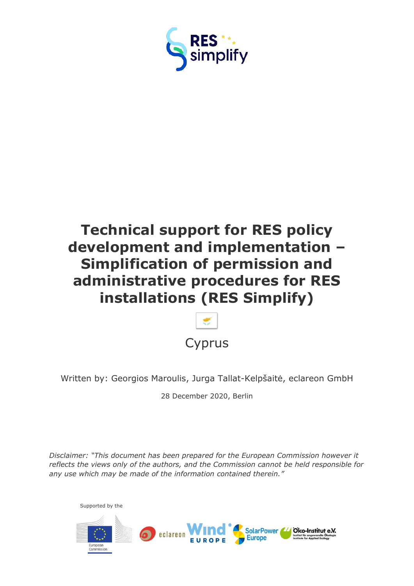

# **Technical support for RES policy development and implementation – Simplification of permission and administrative procedures for RES installations (RES Simplify)**



Written by: Georgios Maroulis, Jurga Tallat-Kelpšaitė, eclareon GmbH

28 December 2020, Berlin

*Disclaimer: "This document has been prepared for the European Commission however it reflects the views only of the authors, and the Commission cannot be held responsible for any use which may be made of the information contained therein."*

<span id="page-0-0"></span>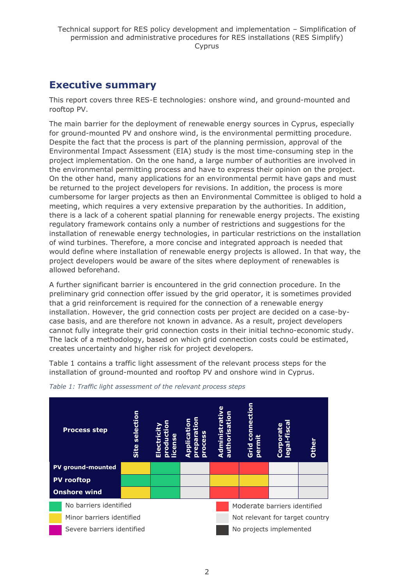# <span id="page-1-0"></span>**Executive summary**

This report covers three RES-E technologies: onshore wind, and ground-mounted and rooftop PV.

The main barrier for the deployment of renewable energy sources in Cyprus, especially for ground-mounted PV and onshore wind, is the environmental permitting procedure. Despite the fact that the process is part of the planning permission, approval of the Environmental Impact Assessment (EIA) study is the most time-consuming step in the project implementation. On the one hand, a large number of authorities are involved in the environmental permitting process and have to express their opinion on the project. On the other hand, many applications for an environmental permit have gaps and must be returned to the project developers for revisions. In addition, the process is more cumbersome for larger projects as then an Environmental Committee is obliged to hold a meeting, which requires a very extensive preparation by the authorities. In addition, there is a lack of a coherent spatial planning for renewable energy projects. The existing regulatory framework contains only a number of restrictions and suggestions for the installation of renewable energy technologies, in particular restrictions on the installation of wind turbines. Therefore, a more concise and integrated approach is needed that would define where installation of renewable energy projects is allowed. In that way, the project developers would be aware of the sites where deployment of renewables is allowed beforehand.

A further significant barrier is encountered in the grid connection procedure. In the preliminary grid connection offer issued by the grid operator, it is sometimes provided that a grid reinforcement is required for the connection of a renewable energy installation. However, the grid connection costs per project are decided on a case-bycase basis, and are therefore not known in advance. As a result, project developers cannot fully integrate their grid connection costs in their initial techno-economic study. The lack of a methodology, based on which grid connection costs could be estimated, creates uncertainty and higher risk for project developers.

Table 1 contains a traffic light assessment of the relevant process steps for the installation of ground-mounted and rooftop PV and onshore wind in Cyprus.



*Table 1: Traffic light assessment of the relevant process steps*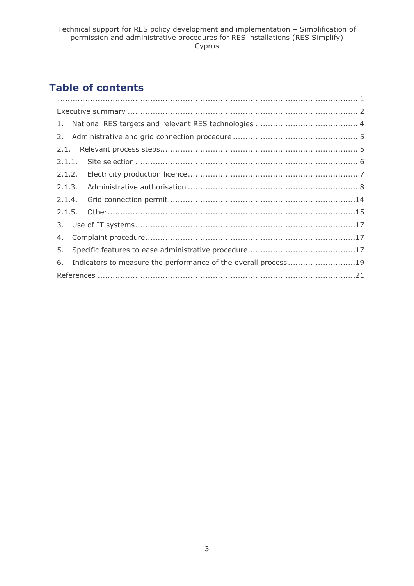# **Table of contents**

| 5.                                                                |  |
|-------------------------------------------------------------------|--|
| 6. Indicators to measure the performance of the overall process19 |  |
|                                                                   |  |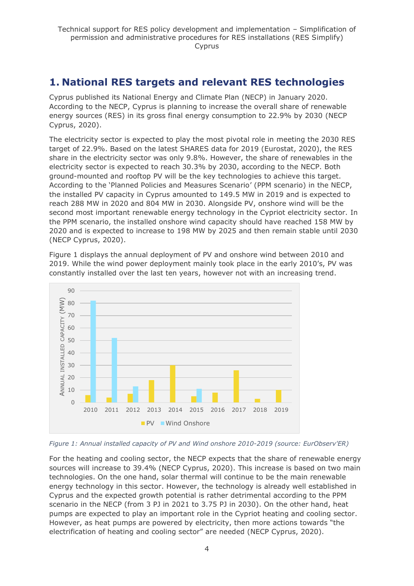# <span id="page-3-0"></span>**1. National RES targets and relevant RES technologies**

Cyprus published its National Energy and Climate Plan (NECP) in January 2020. According to the NECP, Cyprus is planning to increase the overall share of renewable energy sources (RES) in its gross final energy consumption to 22.9% by 2030 (NECP Cyprus, 2020).

The electricity sector is expected to play the most pivotal role in meeting the 2030 RES target of 22.9%. Based on the latest SHARES data for 2019 (Eurostat, 2020), the RES share in the electricity sector was only 9.8%. However, the share of renewables in the electricity sector is expected to reach 30.3% by 2030, according to the NECP. Both ground-mounted and rooftop PV will be the key technologies to achieve this target. According to the 'Planned Policies and Measures Scenario' (PPM scenario) in the NECP, the installed PV capacity in Cyprus amounted to 149.5 MW in 2019 and is expected to reach 288 MW in 2020 and 804 MW in 2030. Alongside PV, onshore wind will be the second most important renewable energy technology in the Cypriot electricity sector. In the PPM scenario, the installed onshore wind capacity should have reached 158 MW by 2020 and is expected to increase to 198 MW by 2025 and then remain stable until 2030 (NECP Cyprus, 2020).

Figure 1 displays the annual deployment of PV and onshore wind between 2010 and 2019. While the wind power deployment mainly took place in the early 2010's, PV was constantly installed over the last ten years, however not with an increasing trend.





For the heating and cooling sector, the NECP expects that the share of renewable energy sources will increase to 39.4% (NECP Cyprus, 2020). This increase is based on two main technologies. On the one hand, solar thermal will continue to be the main renewable energy technology in this sector. However, the technology is already well established in Cyprus and the expected growth potential is rather detrimental according to the PPM scenario in the NECP (from 3 PJ in 2021 to 3.75 PJ in 2030). On the other hand, heat pumps are expected to play an important role in the Cypriot heating and cooling sector. However, as heat pumps are powered by electricity, then more actions towards "the electrification of heating and cooling sector" are needed (NECP Cyprus, 2020).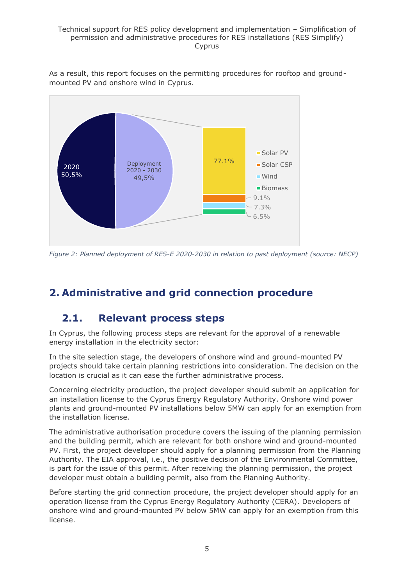#### Technical support for RES policy development and implementation – Simplification of permission and administrative procedures for RES installations (RES Simplify) Cyprus

As a result, this report focuses on the permitting procedures for rooftop and groundmounted PV and onshore wind in Cyprus.



*Figure 2: Planned deployment of RES-E 2020-2030 in relation to past deployment (source: NECP)*

# <span id="page-4-1"></span><span id="page-4-0"></span>**2. Administrative and grid connection procedure**

# **2.1. Relevant process steps**

In Cyprus, the following process steps are relevant for the approval of a renewable energy installation in the electricity sector:

In the site selection stage, the developers of onshore wind and ground-mounted PV projects should take certain planning restrictions into consideration. The decision on the location is crucial as it can ease the further administrative process.

Concerning electricity production, the project developer should submit an application for an installation license to the Cyprus Energy Regulatory Authority. Onshore wind power plants and ground-mounted PV installations below 5MW can apply for an exemption from the installation license.

The administrative authorisation procedure covers the issuing of the planning permission and the building permit, which are relevant for both onshore wind and ground-mounted PV. First, the project developer should apply for a planning permission from the Planning Authority. The EIA approval, i.e., the positive decision of the Environmental Committee, is part for the issue of this permit. After receiving the planning permission, the project developer must obtain a building permit, also from the Planning Authority.

Before starting the grid connection procedure, the project developer should apply for an operation license from the Cyprus Energy Regulatory Authority (CERA). Developers of onshore wind and ground-mounted PV below 5MW can apply for an exemption from this license.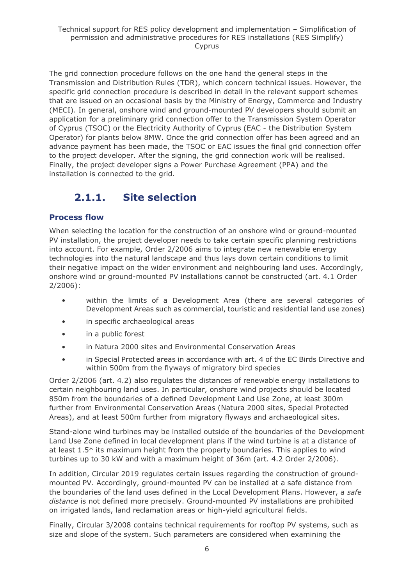The grid connection procedure follows on the one hand the general steps in the Transmission and Distribution Rules (TDR), which concern technical issues. However, the specific grid connection procedure is described in detail in the relevant support schemes that are issued on an occasional basis by the Ministry of Energy, Commerce and Industry (MECI). In general, onshore wind and ground-mounted PV developers should submit an application for a preliminary grid connection offer to the Transmission System Operator of Cyprus (TSOC) or the Electricity Authority of Cyprus (EAC - the Distribution System Operator) for plants below 8MW. Once the grid connection offer has been agreed and an advance payment has been made, the TSOC or EAC issues the final grid connection offer to the project developer. After the signing, the grid connection work will be realised. Finally, the project developer signs a Power Purchase Agreement (PPA) and the installation is connected to the grid.

# **2.1.1. Site selection**

### <span id="page-5-0"></span>**Process flow**

When selecting the location for the construction of an onshore wind or ground-mounted PV installation, the project developer needs to take certain specific planning restrictions into account. For example, Order 2/2006 aims to integrate new renewable energy technologies into the natural landscape and thus lays down certain conditions to limit their negative impact on the wider environment and neighbouring land uses. Accordingly, onshore wind or ground-mounted PV installations cannot be constructed (art. 4.1 Order 2/2006):

- within the limits of a Development Area (there are several categories of Development Areas such as commercial, touristic and residential land use zones)
- in specific archaeological areas
- in a public forest
- in Natura 2000 sites and Environmental Conservation Areas
- in Special Protected areas in accordance with art. 4 of the EC Birds Directive and within 500m from the flyways of migratory bird species

Order 2/2006 (art. 4.2) also regulates the distances of renewable energy installations to certain neighbouring land uses. In particular, onshore wind projects should be located 850m from the boundaries of a defined Development Land Use Zone, at least 300m further from Environmental Conservation Areas (Natura 2000 sites, Special Protected Areas), and at least 500m further from migratory flyways and archaeological sites.

Stand-alone wind turbines may be installed outside of the boundaries of the Development Land Use Zone defined in local development plans if the wind turbine is at a distance of at least 1.5\* its maximum height from the property boundaries. This applies to wind turbines up to 30 kW and with a maximum height of 36m (art. 4.2 Order 2/2006).

In addition, Circular 2019 regulates certain issues regarding the construction of groundmounted PV. Accordingly, ground-mounted PV can be installed at a safe distance from the boundaries of the land uses defined in the Local Development Plans. However, a *safe distance* is not defined more precisely. Ground-mounted PV installations are prohibited on irrigated lands, land reclamation areas or high-yield agricultural fields.

Finally, Circular 3/2008 contains technical requirements for rooftop PV systems, such as size and slope of the system. Such parameters are considered when examining the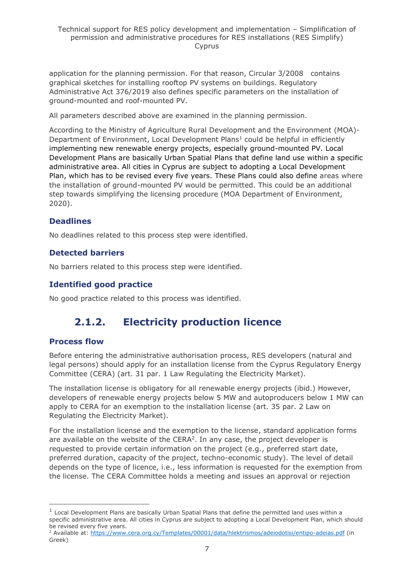application for the planning permission. For that reason, Circular 3/2008 contains graphical sketches for installing rooftop PV systems on buildings. Regulatory Administrative Act 376/2019 also defines specific parameters on the installation of ground-mounted and roof-mounted PV.

All parameters described above are examined in the planning permission.

According to the Ministry of Agriculture Rural Development and the Environment (MOA)- Department of Environment, Local Development Plans<sup>1</sup> could be helpful in efficiently implementing new renewable energy projects, especially ground-mounted PV. Local Development Plans are basically Urban Spatial Plans that define land use within a specific administrative area. All cities in Cyprus are subject to adopting a Local Development Plan, which has to be revised every five years. These Plans could also define areas where the installation of ground-mounted PV would be permitted. This could be an additional step towards simplifying the licensing procedure (MOA Department of Environment, 2020).

# **Deadlines**

No deadlines related to this process step were identified.

### **Detected barriers**

No barriers related to this process step were identified.

### **Identified good practice**

<span id="page-6-0"></span>No good practice related to this process was identified.

# **2.1.2. Electricity production licence**

### **Process flow**

Before entering the administrative authorisation process, RES developers (natural and legal persons) should apply for an installation license from the Cyprus Regulatory Energy Committee (CERA) (art. 31 par. 1 Law Regulating the Electricity Market).

The installation license is obligatory for all renewable energy projects (ibid.) However, developers of renewable energy projects below 5 MW and autoproducers below 1 MW can apply to CERA for an exemption to the installation license (art. 35 par. 2 Law on Regulating the Electricity Market).

For the installation license and the exemption to the license, standard application forms are available on the website of the CERA<sup>2</sup>. In any case, the project developer is requested to provide certain information on the project (e.g., preferred start date, preferred duration, capacity of the project, techno-economic study). The level of detail depends on the type of licence, i.e., less information is requested for the exemption from the license. The CERA Committee holds a meeting and issues an approval or rejection

 $<sup>1</sup>$  Local Development Plans are basically Urban Spatial Plans that define the permitted land uses within a</sup> specific administrative area. All cities in Cyprus are subject to adopting a Local Development Plan, which should be revised every five years.

<sup>&</sup>lt;sup>2</sup> Available at:<https://www.cera.org.cy/Templates/00001/data/hlektrismos/adeiodotisi/entipo-adeias.pdf> (in Greek)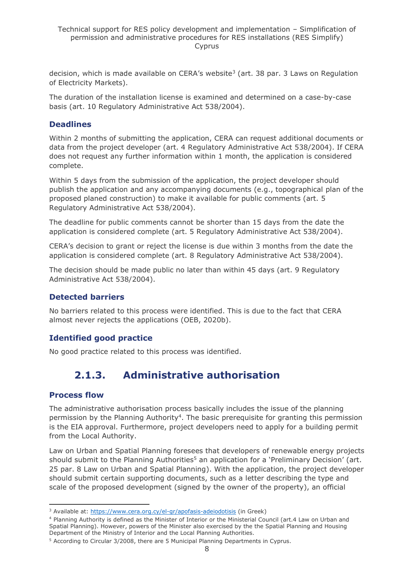decision, which is made available on CERA's website<sup>3</sup> (art. 38 par. 3 Laws on Regulation of Electricity Markets).

The duration of the installation license is examined and determined on a case-by-case basis (art. 10 Regulatory Administrative Act 538/2004).

### **Deadlines**

Within 2 months of submitting the application, CERA can request additional documents or data from the project developer (art. 4 Regulatory Administrative Act 538/2004). If CERA does not request any further information within 1 month, the application is considered complete.

Within 5 days from the submission of the application, the project developer should publish the application and any accompanying documents (e.g., topographical plan of the proposed planed construction) to make it available for public comments (art. 5 Regulatory Administrative Act 538/2004).

The deadline for public comments cannot be shorter than 15 days from the date the application is considered complete (art. 5 Regulatory Administrative Act 538/2004).

CERA's decision to grant or reject the license is due within 3 months from the date the application is considered complete (art. 8 Regulatory Administrative Act 538/2004).

The decision should be made public no later than within 45 days (art. 9 Regulatory Administrative Act 538/2004).

### **Detected barriers**

No barriers related to this process were identified. This is due to the fact that CERA almost never rejects the applications (OEB, 2020b).

# **Identified good practice**

<span id="page-7-0"></span>No good practice related to this process was identified.

# **2.1.3. Administrative authorisation**

### **Process flow**

The administrative authorisation process basically includes the issue of the planning permission by the Planning Authority<sup>4</sup>. The basic prerequisite for granting this permission is the EIA approval. Furthermore, project developers need to apply for a building permit from the Local Authority.

Law on Urban and Spatial Planning foresees that developers of renewable energy projects should submit to the Planning Authorities<sup>5</sup> an application for a 'Preliminary Decision' (art. 25 par. 8 Law on Urban and Spatial Planning). With the application, the project developer should submit certain supporting documents, such as a letter describing the type and scale of the proposed development (signed by the owner of the property), an official

<sup>&</sup>lt;sup>3</sup> Available at:<https://www.cera.org.cy/el-gr/apofasis-adeiodotisis> (in Greek)

<sup>4</sup> Planning Authority is defined as the Minister of Interior or the Ministerial Council (art.4 Law on Urban and Spatial Planning). Ηowever, powers of the Minister also exercised by the the Spatial Planning and Housing Department of the Ministry of Interior and the Local Planning Authorities.

<sup>5</sup> According to Circular 3/2008, there are 5 Municipal Planning Departments in Cyprus.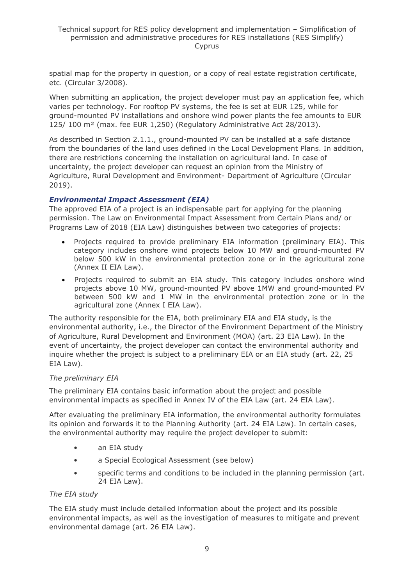spatial map for the property in question, or a copy of real estate registration certificate, etc. (Circular 3/2008).

When submitting an application, the project developer must pay an application fee, which varies per technology. For rooftop PV systems, the fee is set at EUR 125, while for ground-mounted PV installations and onshore wind power plants the fee amounts to EUR 125/ 100 m² (max. fee EUR 1,250) (Regulatory Administrative Act 28/2013).

As described in Section 2.1.1., ground-mounted PV can be installed at a safe distance from the boundaries of the land uses defined in the Local Development Plans. In addition, there are restrictions concerning the installation on agricultural land. In case of uncertainty, the project developer can request an opinion from the Ministry of Agriculture, Rural Development and Environment- Department of Agriculture (Circular 2019).

### *Environmental Impact Assessment (EIA)*

The approved EIA of a project is an indispensable part for applying for the planning permission. The Law on Environmental Impact Assessment from Certain Plans and/ or Programs Law of 2018 (EIA Law) distinguishes between two categories of projects:

- Projects required to provide preliminary EIA information (preliminary EIA). This category includes onshore wind projects below 10 MW and ground-mounted PV below 500 kW in the environmental protection zone or in the agricultural zone (Annex II EIA Law).
- Projects required to submit an EIA study. This category includes onshore wind projects above 10 MW, ground-mounted PV above 1MW and ground-mounted PV between 500 kW and 1 MW in the environmental protection zone or in the agricultural zone (Annex I EIA Law).

The authority responsible for the EIA, both preliminary EIA and EIA study, is the environmental authority, i.e., the Director of the Environment Department of the Ministry of Agriculture, Rural Development and Environment (MOA) (art. 23 EIA Law). In the event of uncertainty, the project developer can contact the environmental authority and inquire whether the project is subject to a preliminary EIA or an EIA study (art. 22, 25 EIA Law).

### *The preliminary EIA*

The preliminary EIA contains basic information about the project and possible environmental impacts as specified in Annex IV of the EIA Law (art. 24 EIA Law).

After evaluating the preliminary EIA information, the environmental authority formulates its opinion and forwards it to the Planning Authority (art. 24 EIA Law). In certain cases, the environmental authority may require the project developer to submit:

- an EIA study
- a Special Ecological Assessment (see below)
- specific terms and conditions to be included in the planning permission (art. 24 EIA Law).

### *The EIA study*

The EIA study must include detailed information about the project and its possible environmental impacts, as well as the investigation of measures to mitigate and prevent environmental damage (art. 26 EIA Law).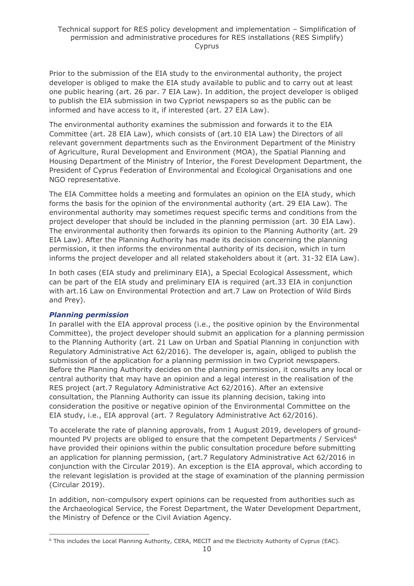Prior to the submission of the EIA study to the environmental authority, the project developer is obliged to make the EIA study available to public and to carry out at least one public hearing (art. 26 par. 7 EIA Law). In addition, the project developer is obliged to publish the EIA submission in two Cypriot newspapers so as the public can be informed and have access to it, if interested (art. 27 EIA Law).

The environmental authority examines the submission and forwards it to the EIA Committee (art. 28 EIA Law), which consists of (art.10 EIA Law) the Directors of all relevant government departments such as the Environment Department of the Ministry of Agriculture, Rural Development and Environment (MOA), the Spatial Planning and Housing Department of the Ministry of Interior, the Forest Development Department, the President of Cyprus Federation of Environmental and Ecological Organisations and one NGO representative.

The EIA Committee holds a meeting and formulates an opinion on the EIA study, which forms the basis for the opinion of the environmental authority (art. 29 EIA Law). The environmental authority may sometimes request specific terms and conditions from the project developer that should be included in the planning permission (art. 30 EIA Law). The environmental authority then forwards its opinion to the Planning Authority (art. 29 EIA Law). After the Planning Authority has made its decision concerning the planning permission, it then informs the environmental authority of its decision, which in turn informs the project developer and all related stakeholders about it (art. 31-32 EIA Law).

In both cases (EIA study and preliminary EIA), a Special Ecological Assessment, which can be part of the EIA study and preliminary EIA is required (art.33 EIA in conjunction with art.16 Law on Environmental Protection and art.7 Law on Protection of Wild Birds and Prey).

### *Planning permission*

In parallel with the EIA approval process (i.e., the positive opinion by the Environmental Committee), the project developer should submit an application for a planning permission to the Planning Authority (art. 21 Law on Urban and Spatial Planning in conjunction with Regulatory Administrative Act 62/2016). The developer is, again, obliged to publish the submission of the application for a planning permission in two Cypriot newspapers. Before the Planning Authority decides on the planning permission, it consults any local or central authority that may have an opinion and a legal interest in the realisation of the RES project (art.7 Regulatory Administrative Act 62/2016). After an extensive consultation, the Planning Authority can issue its planning decision, taking into consideration the positive or negative opinion of the Environmental Committee on the EIA study, i.e., EIA approval (art. 7 Regulatory Administrative Act 62/2016).

To accelerate the rate of planning approvals, from 1 August 2019, developers of groundmounted PV projects are obliged to ensure that the competent Departments / Services<sup>6</sup> have provided their opinions within the public consultation procedure before submitting an application for planning permission, (art.7 Regulatory Administrative Act 62/2016 in conjunction with the Circular 2019). An exception is the EIA approval, which according to the relevant legislation is provided at the stage of examination of the planning permission (Circular 2019).

In addition, non-compulsory expert opinions can be requested from authorities such as the Archaeological Service, the Forest Department, the Water Development Department, the Ministry of Defence or the Civil Aviation Agency.

<sup>6</sup> This includes the Local Planning Authority, CERA, MECIT and the Electricity Authority of Cyprus (EAC).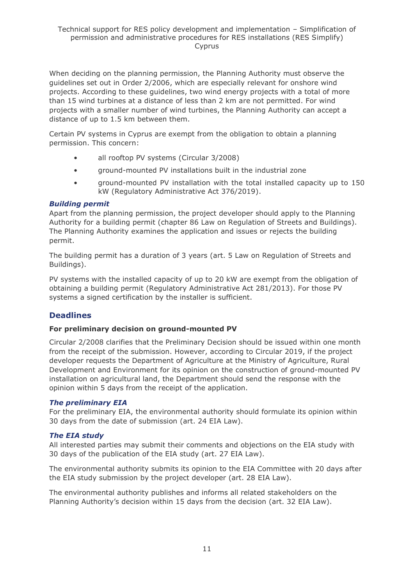When deciding on the planning permission, the Planning Authority must observe the guidelines set out in Order 2/2006, which are especially relevant for onshore wind projects. According to these guidelines, two wind energy projects with a total of more than 15 wind turbines at a distance of less than 2 km are not permitted. For wind projects with a smaller number of wind turbines, the Planning Authority can accept a distance of up to 1.5 km between them.

Certain PV systems in Cyprus are exempt from the obligation to obtain a planning permission. This concern:

- all rooftop PV systems (Circular 3/2008)
- ground-mounted PV installations built in the industrial zone
- ground-mounted PV installation with the total installed capacity up to 150 kW (Regulatory Administrative Act 376/2019).

#### *Building permit*

Apart from the planning permission, the project developer should apply to the Planning Authority for a building permit (chapter 86 Law on Regulation of Streets and Buildings). The Planning Authority examines the application and issues or rejects the building permit.

The building permit has a duration of 3 years (art. 5 Law on Regulation of Streets and Buildings).

PV systems with the installed capacity of up to 20 kW are exempt from the obligation of obtaining a building permit (Regulatory Administrative Act 281/2013). For those PV systems a signed certification by the installer is sufficient.

### **Deadlines**

#### **For preliminary decision on ground-mounted PV**

Circular 2/2008 clarifies that the Preliminary Decision should be issued within one month from the receipt of the submission. However, according to Circular 2019, if the project developer requests the Department of Agriculture at the Ministry of Agriculture, Rural Development and Environment for its opinion on the construction of ground-mounted PV installation on agricultural land, the Department should send the response with the opinion within 5 days from the receipt of the application.

#### *The preliminary EIA*

For the preliminary EIA, the environmental authority should formulate its opinion within 30 days from the date of submission (art. 24 EIA Law).

### *The EIA study*

All interested parties may submit their comments and objections on the EIA study with 30 days of the publication of the EIA study (art. 27 EIA Law).

The environmental authority submits its opinion to the EIA Committee with 20 days after the EIA study submission by the project developer (art. 28 EIA Law).

The environmental authority publishes and informs all related stakeholders on the Planning Authority's decision within 15 days from the decision (art. 32 EIA Law).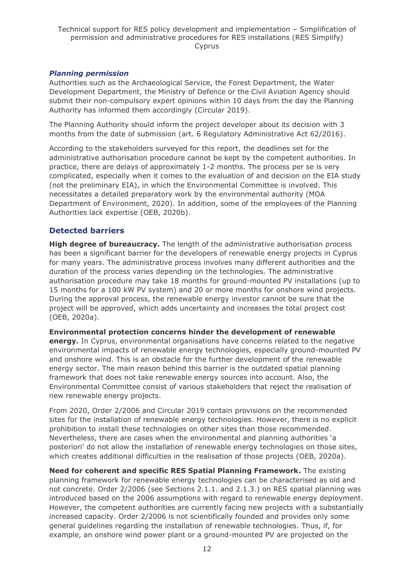#### Technical support for RES policy development and implementation – Simplification of permission and administrative procedures for RES installations (RES Simplify) Cyprus

### *Planning permission*

Authorities such as the Archaeological Service, the Forest Department, the Water Development Department, the Ministry of Defence or the Civil Aviation Agency should submit their non-compulsory expert opinions within 10 days from the day the Planning Authority has informed them accordingly (Circular 2019).

The Planning Authority should inform the project developer about its decision with 3 months from the date of submission (art. 6 Regulatory Administrative Act 62/2016).

According to the stakeholders surveyed for this report, the deadlines set for the administrative authorisation procedure cannot be kept by the competent authorities. In practice, there are delays of approximately 1-2 months. The process per se is very complicated, especially when it comes to the evaluation of and decision on the EIA study (not the preliminary EIA), in which the Environmental Committee is involved. This necessitates a detailed preparatory work by the environmental authority (MOA Department of Environment, 2020). In addition, some of the employees of the Planning Authorities lack expertise (OEB, 2020b).

### **Detected barriers**

**High degree of bureaucracy.** The length of the administrative authorisation process has been a significant barrier for the developers of renewable energy projects in Cyprus for many years. The administrative process involves many different authorities and the duration of the process varies depending on the technologies. The administrative authorisation procedure may take 18 months for ground-mounted PV installations (up to 15 months for a 100 kW PV system) and 20 or more months for onshore wind projects. During the approval process, the renewable energy investor cannot be sure that the project will be approved, which adds uncertainty and increases the total project cost (OEB, 2020a).

**Environmental protection concerns hinder the development of renewable energy.** In Cyprus, environmental organisations have concerns related to the negative environmental impacts of renewable energy technologies, especially ground-mounted PV and onshore wind. This is an obstacle for the further development of the renewable energy sector. The main reason behind this barrier is the outdated spatial planning framework that does not take renewable energy sources into account. Also, the Environmental Committee consist of various stakeholders that reject the realisation of new renewable energy projects.

From 2020, Order 2/2006 and Circular 2019 contain provisions on the recommended sites for the installation of renewable energy technologies. However, there is no explicit prohibition to install these technologies on other sites than those recommended. Nevertheless, there are cases when the environmental and planning authorities 'a posteriori' do not allow the installation of renewable energy technologies on those sites, which creates additional difficulties in the realisation of those projects (OEB, 2020a).

**Need for coherent and specific RES Spatial Planning Framework.** The existing planning framework for renewable energy technologies can be characterised as old and not concrete. Order 2/2006 (see Sections 2.1.1. and 2.1.3.) on RES spatial planning was introduced based on the 2006 assumptions with regard to renewable energy deployment. However, the competent authorities are currently facing new projects with a substantially increased capacity. Order 2/2006 is not scientifically founded and provides only some general guidelines regarding the installation of renewable technologies. Thus, if, for example, an onshore wind power plant or a ground-mounted PV are projected on the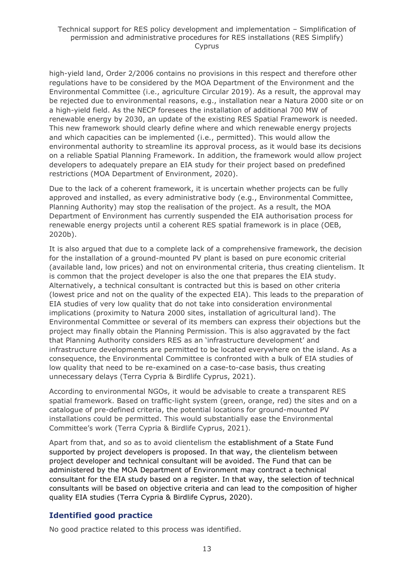high-yield land, Order 2/2006 contains no provisions in this respect and therefore other regulations have to be considered by the MOA Department of the Environment and the Environmental Committee (i.e., agriculture Circular 2019). As a result, the approval may be rejected due to environmental reasons, e.g., installation near a Natura 2000 site or on a high-yield field. As the NECP foresees the installation of additional 700 MW of renewable energy by 2030, an update of the existing RES Spatial Framework is needed. This new framework should clearly define where and which renewable energy projects and which capacities can be implemented (i.e., permitted). This would allow the environmental authority to streamline its approval process, as it would base its decisions on a reliable Spatial Planning Framework. In addition, the framework would allow project developers to adequately prepare an EIA study for their project based on predefined restrictions (MOA Department of Environment, 2020).

Due to the lack of a coherent framework, it is uncertain whether projects can be fully approved and installed, as every administrative body (e.g., Environmental Committee, Planning Authority) may stop the realisation of the project. As a result, the MOA Department of Environment has currently suspended the EIA authorisation process for renewable energy projects until a coherent RES spatial framework is in place (OEB, 2020b).

It is also argued that due to a complete lack of a comprehensive framework, the decision for the installation of a ground-mounted PV plant is based on pure economic criterial (available land, low prices) and not on environmental criteria, thus creating clientelism. It is common that the project developer is also the one that prepares the EIA study. Alternatively, a technical consultant is contracted but this is based on other criteria (lowest price and not on the quality of the expected EIA). This leads to the preparation of EIA studies of very low quality that do not take into consideration environmental implications (proximity to Natura 2000 sites, installation of agricultural land). The Environmental Committee or several of its members can express their objections but the project may finally obtain the Planning Permission. This is also aggravated by the fact that Planning Authority considers RES as an 'infrastructure development' and infrastructure developments are permitted to be located everywhere on the island. As a consequence, the Environmental Committee is confronted with a bulk of EIA studies of low quality that need to be re-examined on a case-to-case basis, thus creating unnecessary delays (Terra Cypria & Birdlife Cyprus, 2021).

According to environmental NGOs, it would be advisable to create a transparent RES spatial framework. Based on traffic-light system (green, orange, red) the sites and on a catalogue of pre-defined criteria, the potential locations for ground-mounted PV installations could be permitted. This would substantially ease the Environmental Committee's work (Terra Cypria & Birdlife Cyprus, 2021).

Apart from that, and so as to avoid clientelism the establishment of a State Fund supported by project developers is proposed. In that way, the clientelism between project developer and technical consultant will be avoided. The Fund that can be administered by the MOA Department of Environment may contract a technical consultant for the EIA study based on a register. In that way, the selection of technical consultants will be based on objective criteria and can lead to the composition of higher quality EIA studies (Terra Cypria & Birdlife Cyprus, 2020).

# **Identified good practice**

No good practice related to this process was identified.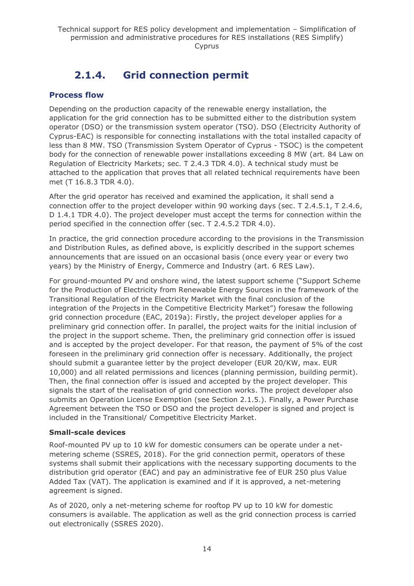# **2.1.4. Grid connection permit**

# <span id="page-13-0"></span>**Process flow**

Depending on the production capacity of the renewable energy installation, the application for the grid connection has to be submitted either to the distribution system operator (DSO) or the transmission system operator (TSO). DSO (Electricity Authority of Cyprus-EAC) is responsible for connecting installations with the total installed capacity of less than 8 MW. TSO (Transmission System Operator of Cyprus - TSOC) is the competent body for the connection of renewable power installations exceeding 8 MW (art. 84 Law on Regulation of Electricity Markets; sec. T 2.4.3 TDR 4.0). A technical study must be attached to the application that proves that all related technical requirements have been met (T 16.8.3 TDR 4.0).

After the grid operator has received and examined the application, it shall send a connection offer to the project developer within 90 working days (sec. T 2.4.5.1, T 2.4.6, D 1.4.1 TDR 4.0). The project developer must accept the terms for connection within the period specified in the connection offer (sec. T 2.4.5.2 TDR 4.0).

In practice, the grid connection procedure according to the provisions in the Transmission and Distribution Rules, as defined above, is explicitly described in the support schemes announcements that are issued on an occasional basis (once every year or every two years) by the Ministry of Energy, Commerce and Industry (art. 6 RES Law).

For ground-mounted PV and onshore wind, the latest support scheme ("Support Scheme for the Production of Electricity from Renewable Energy Sources in the framework of the Transitional Regulation of the Electricity Market with the final conclusion of the integration of the Projects in the Competitive Electricity Market") foresaw the following grid connection procedure (EAC, 2019a): Firstly, the project developer applies for a preliminary grid connection offer. In parallel, the project waits for the initial inclusion of the project in the support scheme. Then, the preliminary grid connection offer is issued and is accepted by the project developer. For that reason, the payment of 5% of the cost foreseen in the preliminary grid connection offer is necessary. Additionally, the project should submit a guarantee letter by the project developer (EUR 20/KW, max. EUR 10,000) and all related permissions and licences (planning permission, building permit). Then, the final connection offer is issued and accepted by the project developer. This signals the start of the realisation of grid connection works. The project developer also submits an Operation License Exemption (see Section 2.1.5.). Finally, a Power Purchase Agreement between the TSO or DSO and the project developer is signed and project is included in the Transitional/ Competitive Electricity Market.

### **Small-scale devices**

Roof-mounted PV up to 10 kW for domestic consumers can be operate under a netmetering scheme (SSRES, 2018). For the grid connection permit, operators of these systems shall submit their applications with the necessary supporting documents to the distribution grid operator (EAC) and pay an administrative fee of EUR 250 plus Value Added Tax (VAT). The application is examined and if it is approved, a net-metering agreement is signed.

As of 2020, only a net-metering scheme for rooftop PV up to 10 kW for domestic consumers is available. The application as well as the grid connection process is carried out electronically (SSRES 2020).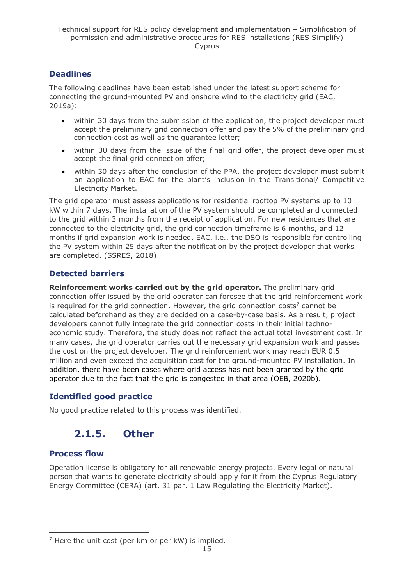# **Deadlines**

The following deadlines have been established under the latest support scheme for connecting the ground-mounted PV and onshore wind to the electricity grid (EAC, 2019a):

- within 30 days from the submission of the application, the project developer must accept the preliminary grid connection offer and pay the 5% of the preliminary grid connection cost as well as the guarantee letter;
- within 30 days from the issue of the final grid offer, the project developer must accept the final grid connection offer;
- within 30 days after the conclusion of the PPA, the project developer must submit an application to EAC for the plant's inclusion in the Transitional/ Competitive Electricity Market.

The grid operator must assess applications for residential rooftop PV systems up to 10 kW within 7 days. The installation of the PV system should be completed and connected to the grid within 3 months from the receipt of application. For new residences that are connected to the electricity grid, the grid connection timeframe is 6 months, and 12 months if grid expansion work is needed. EAC, i.e., the DSO is responsible for controlling the PV system within 25 days after the notification by the project developer that works are completed. (SSRES, 2018)

# **Detected barriers**

**Reinforcement works carried out by the grid operator.** The preliminary grid connection offer issued by the grid operator can foresee that the grid reinforcement work is required for the grid connection. However, the grid connection costs<sup>7</sup> cannot be calculated beforehand as they are decided on a case-by-case basis. As a result, project developers cannot fully integrate the grid connection costs in their initial technoeconomic study. Therefore, the study does not reflect the actual total investment cost. In many cases, the grid operator carries out the necessary grid expansion work and passes the cost on the project developer. The grid reinforcement work may reach EUR 0.5 million and even exceed the acquisition cost for the ground-mounted PV installation. In addition, there have been cases where grid access has not been granted by the grid operator due to the fact that the grid is congested in that area (OEB, 2020b).

### **Identified good practice**

<span id="page-14-0"></span>No good practice related to this process was identified.

# **2.1.5. Other**

### **Process flow**

Operation license is obligatory for all renewable energy projects. Every legal or natural person that wants to generate electricity should apply for it from the Cyprus Regulatory Energy Committee (CERA) (art. 31 par. 1 Law Regulating the Electricity Market).

 $<sup>7</sup>$  Here the unit cost (per km or per kW) is implied.</sup>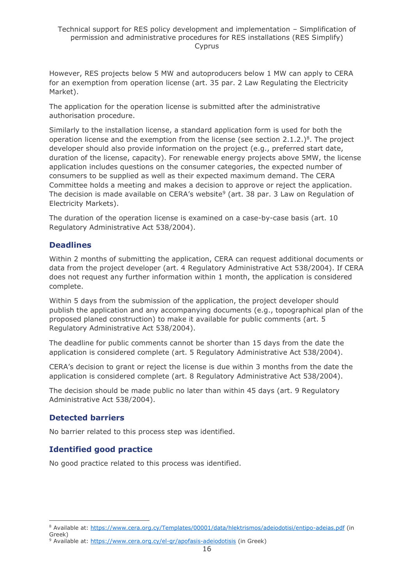However, RES projects below 5 MW and autoproducers below 1 MW can apply to CERA for an exemption from operation license (art. 35 par. 2 Law Regulating the Electricity Market).

The application for the operation license is submitted after the administrative authorisation procedure.

Similarly to the installation license, a standard application form is used for both the operation license and the exemption from the license (see section  $2.1.2$ .)<sup>8</sup>. The project developer should also provide information on the project (e.g., preferred start date, duration of the license, capacity). For renewable energy projects above 5MW, the license application includes questions on the consumer categories, the expected number of consumers to be supplied as well as their expected maximum demand. The CERA Committee holds a meeting and makes a decision to approve or reject the application. The decision is made available on CERA's website<sup>9</sup> (art. 38 par. 3 Law on Regulation of Electricity Markets).

The duration of the operation license is examined on a case-by-case basis (art. 10 Regulatory Administrative Act 538/2004).

### **Deadlines**

Within 2 months of submitting the application, CERA can request additional documents or data from the project developer (art. 4 Regulatory Administrative Act 538/2004). If CERA does not request any further information within 1 month, the application is considered complete.

Within 5 days from the submission of the application, the project developer should publish the application and any accompanying documents (e.g., topographical plan of the proposed planed construction) to make it available for public comments (art. 5 Regulatory Administrative Act 538/2004).

The deadline for public comments cannot be shorter than 15 days from the date the application is considered complete (art. 5 Regulatory Administrative Act 538/2004).

CERA's decision to grant or reject the license is due within 3 months from the date the application is considered complete (art. 8 Regulatory Administrative Act 538/2004).

The decision should be made public no later than within 45 days (art. 9 Regulatory Administrative Act 538/2004).

### **Detected barriers**

No barrier related to this process step was identified.

### **Identified good practice**

No good practice related to this process was identified.

<sup>&</sup>lt;sup>8</sup> Available at:<https://www.cera.org.cy/Templates/00001/data/hlektrismos/adeiodotisi/entipo-adeias.pdf> (in Greek)

<sup>&</sup>lt;sup>9</sup> Available at:<https://www.cera.org.cy/el-gr/apofasis-adeiodotisis> (in Greek)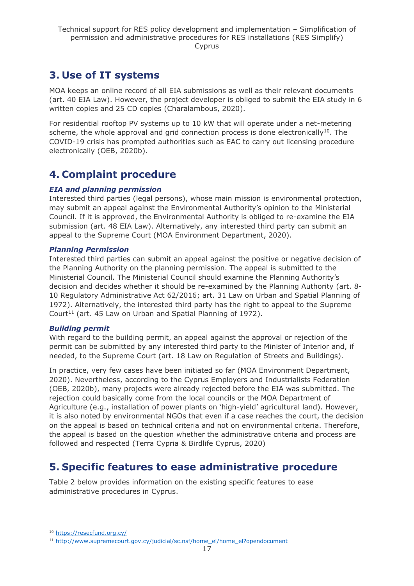# <span id="page-16-0"></span>**3. Use of IT systems**

MOA keeps an online record of all EIA submissions as well as their relevant documents (art. 40 EIA Law). However, the project developer is obliged to submit the EIA study in 6 written copies and 25 CD copies (Charalambous, 2020).

For residential rooftop PV systems up to 10 kW that will operate under a net-metering scheme, the whole approval and grid connection process is done electronically<sup>10</sup>. The COVID-19 crisis has prompted authorities such as EAC to carry out licensing procedure electronically (OEB, 2020b).

# <span id="page-16-1"></span>**4. Complaint procedure**

### *EIA and planning permission*

Interested third parties (legal persons), whose main mission is environmental protection, may submit an appeal against the Environmental Authority's opinion to the Ministerial Council. If it is approved, the Environmental Authority is obliged to re-examine the EIA submission (art. 48 EIA Law). Alternatively, any interested third party can submit an appeal to the Supreme Court (MOA Environment Department, 2020).

### *Planning Permission*

Interested third parties can submit an appeal against the positive or negative decision of the Planning Authority on the planning permission. The appeal is submitted to the Ministerial Council. The Ministerial Council should examine the Planning Authority's decision and decides whether it should be re-examined by the Planning Authority (art. 8- 10 Regulatory Administrative Act 62/2016; art. 31 Law on Urban and Spatial Planning of 1972). Alternatively, the interested third party has the right to appeal to the Supreme Court<sup>11</sup> (art. 45 Law on Urban and Spatial Planning of 1972).

### *Building permit*

With regard to the building permit, an appeal against the approval or rejection of the permit can be submitted by any interested third party to the Minister of Interior and, if needed, to the Supreme Court (art. 18 Law on Regulation of Streets and Buildings).

In practice, very few cases have been initiated so far (MOA Environment Department, 2020). Nevertheless, according to the Cyprus Employers and Industrialists Federation (OEB, 2020b), many projects were already rejected before the EIA was submitted. The rejection could basically come from the local councils or the MOA Department of Agriculture (e.g., installation of power plants on 'high-yield' agricultural land). However, it is also noted by environmental NGOs that even if a case reaches the court, the decision on the appeal is based on technical criteria and not on environmental criteria. Therefore, the appeal is based on the question whether the administrative criteria and process are followed and respected (Terra Cypria & Birdlife Cyprus, 2020)

# <span id="page-16-2"></span>**5. Specific features to ease administrative procedure**

Table 2 below provides information on the existing specific features to ease administrative procedures in Cyprus.

<sup>10</sup> <https://resecfund.org.cy/>

<sup>11</sup> [http://www.supremecourt.gov.cy/judicial/sc.nsf/home\\_el/home\\_el?opendocument](http://www.supremecourt.gov.cy/judicial/sc.nsf/home_el/home_el?opendocument)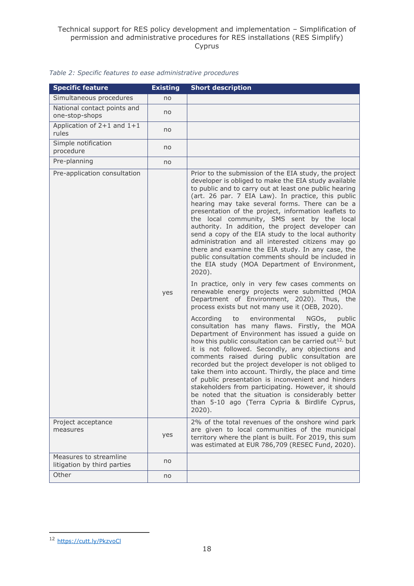| <b>Specific feature</b>                               | <b>Existing</b> | <b>Short description</b>                                                                                                                                                                                                                                                                                                                                                                                                                                                                                                                                                                                                                                                                                                                                                                                                                                                                                                                                                                                                                                                                                                                                                                                                                                                                                                                                                                                                                                                                                                                                                                                                     |
|-------------------------------------------------------|-----------------|------------------------------------------------------------------------------------------------------------------------------------------------------------------------------------------------------------------------------------------------------------------------------------------------------------------------------------------------------------------------------------------------------------------------------------------------------------------------------------------------------------------------------------------------------------------------------------------------------------------------------------------------------------------------------------------------------------------------------------------------------------------------------------------------------------------------------------------------------------------------------------------------------------------------------------------------------------------------------------------------------------------------------------------------------------------------------------------------------------------------------------------------------------------------------------------------------------------------------------------------------------------------------------------------------------------------------------------------------------------------------------------------------------------------------------------------------------------------------------------------------------------------------------------------------------------------------------------------------------------------------|
| Simultaneous procedures                               | no              |                                                                                                                                                                                                                                                                                                                                                                                                                                                                                                                                                                                                                                                                                                                                                                                                                                                                                                                                                                                                                                                                                                                                                                                                                                                                                                                                                                                                                                                                                                                                                                                                                              |
| National contact points and<br>one-stop-shops         | no              |                                                                                                                                                                                                                                                                                                                                                                                                                                                                                                                                                                                                                                                                                                                                                                                                                                                                                                                                                                                                                                                                                                                                                                                                                                                                                                                                                                                                                                                                                                                                                                                                                              |
| Application of $2+1$ and $1+1$<br>rules               | no              |                                                                                                                                                                                                                                                                                                                                                                                                                                                                                                                                                                                                                                                                                                                                                                                                                                                                                                                                                                                                                                                                                                                                                                                                                                                                                                                                                                                                                                                                                                                                                                                                                              |
| Simple notification<br>procedure                      | no              |                                                                                                                                                                                                                                                                                                                                                                                                                                                                                                                                                                                                                                                                                                                                                                                                                                                                                                                                                                                                                                                                                                                                                                                                                                                                                                                                                                                                                                                                                                                                                                                                                              |
| Pre-planning                                          | no              |                                                                                                                                                                                                                                                                                                                                                                                                                                                                                                                                                                                                                                                                                                                                                                                                                                                                                                                                                                                                                                                                                                                                                                                                                                                                                                                                                                                                                                                                                                                                                                                                                              |
| Pre-application consultation                          | yes             | Prior to the submission of the EIA study, the project<br>developer is obliged to make the EIA study available<br>to public and to carry out at least one public hearing<br>(art. 26 par. 7 EIA Law). In practice, this public<br>hearing may take several forms. There can be a<br>presentation of the project, information leaflets to<br>the local community, SMS sent by the local<br>authority. In addition, the project developer can<br>send a copy of the EIA study to the local authority<br>administration and all interested citizens may go<br>there and examine the EIA study. In any case, the<br>public consultation comments should be included in<br>the EIA study (MOA Department of Environment,<br>$2020$ ).<br>In practice, only in very few cases comments on<br>renewable energy projects were submitted (MOA<br>Department of Environment, 2020). Thus, the<br>process exists but not many use it (OEB, 2020).<br>According<br>to<br>environmental<br>NGOs,<br>public<br>consultation has many flaws. Firstly, the MOA<br>Department of Environment has issued a guide on<br>how this public consultation can be carried out <sup>12</sup> but<br>it is not followed. Secondly, any objections and<br>comments raised during public consultation are<br>recorded but the project developer is not obliged to<br>take them into account. Thirdly, the place and time<br>of public presentation is inconvenient and hinders<br>stakeholders from participating. However, it should<br>be noted that the situation is considerably better<br>than 5-10 ago (Terra Cypria & Birdlife Cyprus,<br>$2020$ ). |
| Project acceptance<br>measures                        | yes             | 2% of the total revenues of the onshore wind park<br>are given to local communities of the municipal<br>territory where the plant is built. For 2019, this sum<br>was estimated at EUR 786,709 (RESEC Fund, 2020).                                                                                                                                                                                                                                                                                                                                                                                                                                                                                                                                                                                                                                                                                                                                                                                                                                                                                                                                                                                                                                                                                                                                                                                                                                                                                                                                                                                                           |
| Measures to streamline<br>litigation by third parties | no              |                                                                                                                                                                                                                                                                                                                                                                                                                                                                                                                                                                                                                                                                                                                                                                                                                                                                                                                                                                                                                                                                                                                                                                                                                                                                                                                                                                                                                                                                                                                                                                                                                              |
| Other                                                 | no              |                                                                                                                                                                                                                                                                                                                                                                                                                                                                                                                                                                                                                                                                                                                                                                                                                                                                                                                                                                                                                                                                                                                                                                                                                                                                                                                                                                                                                                                                                                                                                                                                                              |

#### *Table 2: Specific features to ease administrative procedures*

<sup>12</sup> <https://cutt.ly/PkzvoCl>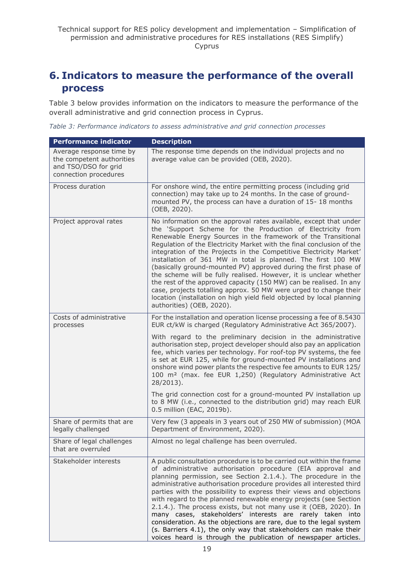# <span id="page-18-0"></span>**6. Indicators to measure the performance of the overall process**

Table 3 below provides information on the indicators to measure the performance of the overall administrative and grid connection process in Cyprus.

*Table 3: Performance indicators to assess administrative and grid connection processes*

| <b>Performance indicator</b>                                                                           | <b>Description</b>                                                                                                                                                                                                                                                                                                                                                                                                                                                                                                                                                                                                                                                                                                                                                                                        |
|--------------------------------------------------------------------------------------------------------|-----------------------------------------------------------------------------------------------------------------------------------------------------------------------------------------------------------------------------------------------------------------------------------------------------------------------------------------------------------------------------------------------------------------------------------------------------------------------------------------------------------------------------------------------------------------------------------------------------------------------------------------------------------------------------------------------------------------------------------------------------------------------------------------------------------|
| Average response time by<br>the competent authorities<br>and TSO/DSO for grid<br>connection procedures | The response time depends on the individual projects and no<br>average value can be provided (OEB, 2020).                                                                                                                                                                                                                                                                                                                                                                                                                                                                                                                                                                                                                                                                                                 |
| Process duration                                                                                       | For onshore wind, the entire permitting process (including grid<br>connection) may take up to 24 months. In the case of ground-<br>mounted PV, the process can have a duration of 15-18 months<br>(OEB, 2020).                                                                                                                                                                                                                                                                                                                                                                                                                                                                                                                                                                                            |
| Project approval rates                                                                                 | No information on the approval rates available, except that under<br>the 'Support Scheme for the Production of Electricity from<br>Renewable Energy Sources in the framework of the Transitional<br>Regulation of the Electricity Market with the final conclusion of the<br>integration of the Projects in the Competitive Electricity Market'<br>installation of 361 MW in total is planned. The first 100 MW<br>(basically ground-mounted PV) approved during the first phase of<br>the scheme will be fully realised. However, it is unclear whether<br>the rest of the approved capacity (150 MW) can be realised. In any<br>case, projects totalling approx. 50 MW were urged to change their<br>location (installation on high yield field objected by local planning<br>authorities) (OEB, 2020). |
| Costs of administrative<br>processes                                                                   | For the installation and operation license processing a fee of 8.5430<br>EUR ct/kW is charged (Regulatory Administrative Act 365/2007).                                                                                                                                                                                                                                                                                                                                                                                                                                                                                                                                                                                                                                                                   |
|                                                                                                        | With regard to the preliminary decision in the administrative<br>authorisation step, project developer should also pay an application<br>fee, which varies per technology. For roof-top PV systems, the fee<br>is set at EUR 125, while for ground-mounted PV installations and<br>onshore wind power plants the respective fee amounts to EUR 125/<br>100 m <sup>2</sup> (max. fee EUR 1,250) (Regulatory Administrative Act<br>28/2013).                                                                                                                                                                                                                                                                                                                                                                |
|                                                                                                        | The grid connection cost for a ground-mounted PV installation up<br>to 8 MW (i.e., connected to the distribution grid) may reach EUR<br>0.5 million (EAC, 2019b).                                                                                                                                                                                                                                                                                                                                                                                                                                                                                                                                                                                                                                         |
| Share of permits that are<br>legally challenged                                                        | Very few (3 appeals in 3 years out of 250 MW of submission) (MOA<br>Department of Environment, 2020).                                                                                                                                                                                                                                                                                                                                                                                                                                                                                                                                                                                                                                                                                                     |
| Share of legal challenges<br>that are overruled                                                        | Almost no legal challenge has been overruled.                                                                                                                                                                                                                                                                                                                                                                                                                                                                                                                                                                                                                                                                                                                                                             |
| Stakeholder interests                                                                                  | A public consultation procedure is to be carried out within the frame<br>of administrative authorisation procedure (EIA approval and<br>planning permission, see Section 2.1.4.). The procedure in the<br>administrative authorisation procedure provides all interested third<br>parties with the possibility to express their views and objections<br>with regard to the planned renewable energy projects (see Section<br>2.1.4.). The process exists, but not many use it (OEB, 2020). In<br>many cases, stakeholders' interests are rarely taken into<br>consideration. As the objections are rare, due to the legal system<br>(s. Barriers 4.1), the only way that stakeholders can make their<br>voices heard is through the publication of newspaper articles.                                    |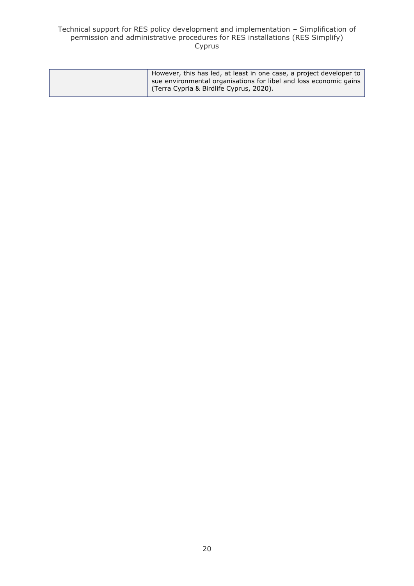#### Technical support for RES policy development and implementation – Simplification of permission and administrative procedures for RES installations (RES Simplify) Cyprus

| However, this has led, at least in one case, a project developer to |
|---------------------------------------------------------------------|
| sue environmental organisations for libel and loss economic gains   |
| (Terra Cypria & Birdlife Cyprus, 2020).                             |
|                                                                     |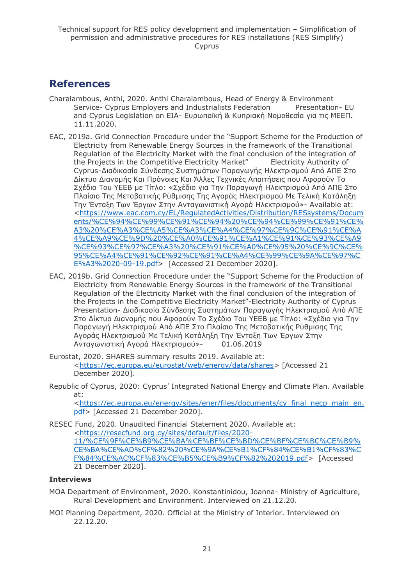# <span id="page-20-0"></span>**References**

- Charalambous, Anthi, 2020. Anthi Charalambous, Head of Energy & Environment Service- Cyprus Employers and Industrialists Federation Presentation- EU and Cyprus Legislation on EIA- Ευρωπαϊκή & Κυπριακή Νομοθεσία για τις ΜΕΕΠ. 11.11.2020.
- EAC, 2019a. Grid Connection Procedure under the "Support Scheme for the Production of Electricity from Renewable Energy Sources in the framework of the Transitional Regulation of the Electricity Market with the final conclusion of the integration of the Projects in the Competitive Electricity Market" Electricity Authority of Cyprus-Διαδικασία Σύνδεσης Συστημάτων Παραγωγής Ηλεκτρισμού Από ΑΠΕ Στο Δίκτυο Διανομής Και Πρόνοιες Και Άλλες Τεχνικές Απαιτήσεις που Αφορούν Το Σχέδιο Του ΥΕΕΒ με Τίτλο: «Σχέδιο για Την Παραγωγή Ηλεκτρισμού Από ΑΠΕ Στο Πλαίσιο Της Μεταβατικής Ρύθμισης Της Αγοράς Ηλεκτρισμού Με Τελική Κατάληξη Την Ένταξη Των Έργων Στην Ανταγωνιστική Αγορά Ηλεκτρισμού»- Available at: [<https://www.eac.com.cy/EL/RegulatedActivities/Distribution/RESsystems/Docum](https://www.eac.com.cy/EL/RegulatedActivities/Distribution/RESsystems/Documents/%CE%94%CE%99%CE%91%CE%94%20%CE%94%CE%99%CE%91%CE%A3%20%CE%A3%CE%A5%CE%A3%CE%A4%CE%97%CE%9C%CE%91%CE%A4%CE%A9%CE%9D%20%CE%A0%CE%91%CE%A1%CE%91%CE%93%CE%A9%CE%93%CE%97%CE%A3%20%CE%91%CE%A0%CE%95%20%CE%9C%CE%95%CE%A4%CE%91%CE%92%CE%91%CE%A4%CE%99%CE%9A%CE%97%CE%A3%2020-09-19.pdf) [ents/%CE%94%CE%99%CE%91%CE%94%20%CE%94%CE%99%CE%91%CE%](https://www.eac.com.cy/EL/RegulatedActivities/Distribution/RESsystems/Documents/%CE%94%CE%99%CE%91%CE%94%20%CE%94%CE%99%CE%91%CE%A3%20%CE%A3%CE%A5%CE%A3%CE%A4%CE%97%CE%9C%CE%91%CE%A4%CE%A9%CE%9D%20%CE%A0%CE%91%CE%A1%CE%91%CE%93%CE%A9%CE%93%CE%97%CE%A3%20%CE%91%CE%A0%CE%95%20%CE%9C%CE%95%CE%A4%CE%91%CE%92%CE%91%CE%A4%CE%99%CE%9A%CE%97%CE%A3%2020-09-19.pdf) [A3%20%CE%A3%CE%A5%CE%A3%CE%A4%CE%97%CE%9C%CE%91%CE%A](https://www.eac.com.cy/EL/RegulatedActivities/Distribution/RESsystems/Documents/%CE%94%CE%99%CE%91%CE%94%20%CE%94%CE%99%CE%91%CE%A3%20%CE%A3%CE%A5%CE%A3%CE%A4%CE%97%CE%9C%CE%91%CE%A4%CE%A9%CE%9D%20%CE%A0%CE%91%CE%A1%CE%91%CE%93%CE%A9%CE%93%CE%97%CE%A3%20%CE%91%CE%A0%CE%95%20%CE%9C%CE%95%CE%A4%CE%91%CE%92%CE%91%CE%A4%CE%99%CE%9A%CE%97%CE%A3%2020-09-19.pdf) [4%CE%A9%CE%9D%20%CE%A0%CE%91%CE%A1%CE%91%CE%93%CE%A9](https://www.eac.com.cy/EL/RegulatedActivities/Distribution/RESsystems/Documents/%CE%94%CE%99%CE%91%CE%94%20%CE%94%CE%99%CE%91%CE%A3%20%CE%A3%CE%A5%CE%A3%CE%A4%CE%97%CE%9C%CE%91%CE%A4%CE%A9%CE%9D%20%CE%A0%CE%91%CE%A1%CE%91%CE%93%CE%A9%CE%93%CE%97%CE%A3%20%CE%91%CE%A0%CE%95%20%CE%9C%CE%95%CE%A4%CE%91%CE%92%CE%91%CE%A4%CE%99%CE%9A%CE%97%CE%A3%2020-09-19.pdf) [%CE%93%CE%97%CE%A3%20%CE%91%CE%A0%CE%95%20%CE%9C%CE%](https://www.eac.com.cy/EL/RegulatedActivities/Distribution/RESsystems/Documents/%CE%94%CE%99%CE%91%CE%94%20%CE%94%CE%99%CE%91%CE%A3%20%CE%A3%CE%A5%CE%A3%CE%A4%CE%97%CE%9C%CE%91%CE%A4%CE%A9%CE%9D%20%CE%A0%CE%91%CE%A1%CE%91%CE%93%CE%A9%CE%93%CE%97%CE%A3%20%CE%91%CE%A0%CE%95%20%CE%9C%CE%95%CE%A4%CE%91%CE%92%CE%91%CE%A4%CE%99%CE%9A%CE%97%CE%A3%2020-09-19.pdf) [95%CE%A4%CE%91%CE%92%CE%91%CE%A4%CE%99%CE%9A%CE%97%C](https://www.eac.com.cy/EL/RegulatedActivities/Distribution/RESsystems/Documents/%CE%94%CE%99%CE%91%CE%94%20%CE%94%CE%99%CE%91%CE%A3%20%CE%A3%CE%A5%CE%A3%CE%A4%CE%97%CE%9C%CE%91%CE%A4%CE%A9%CE%9D%20%CE%A0%CE%91%CE%A1%CE%91%CE%93%CE%A9%CE%93%CE%97%CE%A3%20%CE%91%CE%A0%CE%95%20%CE%9C%CE%95%CE%A4%CE%91%CE%92%CE%91%CE%A4%CE%99%CE%9A%CE%97%CE%A3%2020-09-19.pdf) [E%A3%2020-09-19.pdf>](https://www.eac.com.cy/EL/RegulatedActivities/Distribution/RESsystems/Documents/%CE%94%CE%99%CE%91%CE%94%20%CE%94%CE%99%CE%91%CE%A3%20%CE%A3%CE%A5%CE%A3%CE%A4%CE%97%CE%9C%CE%91%CE%A4%CE%A9%CE%9D%20%CE%A0%CE%91%CE%A1%CE%91%CE%93%CE%A9%CE%93%CE%97%CE%A3%20%CE%91%CE%A0%CE%95%20%CE%9C%CE%95%CE%A4%CE%91%CE%92%CE%91%CE%A4%CE%99%CE%9A%CE%97%CE%A3%2020-09-19.pdf) [Accessed 21 December 2020].
- EAC, 2019b. Grid Connection Procedure under the "Support Scheme for the Production of Electricity from Renewable Energy Sources in the framework of the Transitional Regulation of the Electricity Market with the final conclusion of the integration of the Projects in the Competitive Electricity Market"-Electricity Authority of Cyprus Presentation- Διαδικασία Σύνδεσης Συστημάτων Παραγωγής Ηλεκτρισμού Από ΑΠΕ Στο Δίκτυο Διανομής που Αφορούν Το Σχέδιο Του ΥΕΕΒ με Τίτλο: «Σχέδιο για Την Παραγωγή Ηλεκτρισμού Από ΑΠΕ Στο Πλαίσιο Της Μεταβατικής Ρύθμισης Της Αγοράς Ηλεκτρισμού Με Τελική Κατάληξη Την Ένταξη Των Έργων Στην Ανταγωνιστική Αγορά Ηλεκτρισμού»- 01.06.2019
- Eurostat, 2020. SHARES summary results 2019. Available at: [<https://ec.europa.eu/eurostat/web/energy/data/shares>](https://ec.europa.eu/eurostat/web/energy/data/shares) [Accessed 21 December 2020].
- Republic of Cyprus, 2020: Cyprus' Integrated National Energy and Climate Plan. Available at:

[<https://ec.europa.eu/energy/sites/ener/files/documents/cy\\_final\\_necp\\_main\\_en.](https://ec.europa.eu/energy/sites/ener/files/documents/cy_final_necp_main_en.pdf) [pdf>](https://ec.europa.eu/energy/sites/ener/files/documents/cy_final_necp_main_en.pdf) [Accessed 21 December 2020].

RESEC Fund, 2020. Unaudited Financial Statement 2020. Available at: [<https://resecfund.org.cy/sites/default/files/2020-](https://resecfund.org.cy/sites/default/files/2020-11/%CE%9F%CE%B9%CE%BA%CE%BF%CE%BD%CE%BF%CE%BC%CE%B9%CE%BA%CE%AD%CF%82%20%CE%9A%CE%B1%CF%84%CE%B1%CF%83%CF%84%CE%AC%CF%83%CE%B5%CE%B9%CF%82%202019.pdf) [11/%CE%9F%CE%B9%CE%BA%CE%BF%CE%BD%CE%BF%CE%BC%CE%B9%](https://resecfund.org.cy/sites/default/files/2020-11/%CE%9F%CE%B9%CE%BA%CE%BF%CE%BD%CE%BF%CE%BC%CE%B9%CE%BA%CE%AD%CF%82%20%CE%9A%CE%B1%CF%84%CE%B1%CF%83%CF%84%CE%AC%CF%83%CE%B5%CE%B9%CF%82%202019.pdf) [CE%BA%CE%AD%CF%82%20%CE%9A%CE%B1%CF%84%CE%B1%CF%83%C](https://resecfund.org.cy/sites/default/files/2020-11/%CE%9F%CE%B9%CE%BA%CE%BF%CE%BD%CE%BF%CE%BC%CE%B9%CE%BA%CE%AD%CF%82%20%CE%9A%CE%B1%CF%84%CE%B1%CF%83%CF%84%CE%AC%CF%83%CE%B5%CE%B9%CF%82%202019.pdf) [F%84%CE%AC%CF%83%CE%B5%CE%B9%CF%82%202019.pdf>](https://resecfund.org.cy/sites/default/files/2020-11/%CE%9F%CE%B9%CE%BA%CE%BF%CE%BD%CE%BF%CE%BC%CE%B9%CE%BA%CE%AD%CF%82%20%CE%9A%CE%B1%CF%84%CE%B1%CF%83%CF%84%CE%AC%CF%83%CE%B5%CE%B9%CF%82%202019.pdf) [Accessed 21 December 2020].

### **Interviews**

- MOA Department of Environment, 2020. Konstantinidou, Joanna- Ministry of Agriculture, Rural Development and Environment. Interviewed on 21.12.20.
- MOI Planning Department, 2020. Official at the Ministry of Interior. Interviewed on 22.12.20.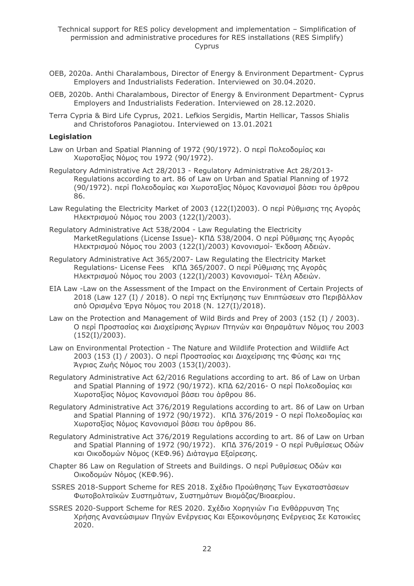- OEB, 2020a. Anthi Charalambous, Director of Energy & Environment Department- Cyprus Employers and Industrialists Federation. Interviewed on 30.04.2020.
- OEB, 2020b. Anthi Charalambous, Director of Energy & Environment Department- Cyprus Employers and Industrialists Federation. Interviewed on 28.12.2020.
- Terra Cypria & Bird Life Cyprus, 2021. Lefkios Sergidis, Martin Hellicar, Tassos Shialis and Christoforos Panagiotou. Interviewed on 13.01.2021

#### **Legislation**

- Law on Urban and Spatial Planning of 1972 (90/1972). Ο περί Πολεοδομίας και Χωροταξίας Νόμος του 1972 (90/1972).
- Regulatory Administrative Act 28/2013 Regulatory Administrative Act 28/2013- Regulations according to art. 86 of Law on Urban and Spatial Planning of 1972 (90/1972). περί Πολεοδομίας και Χωροταξίας Νόμος Κανονισμοί βάσει του άρθρου 86.
- Law Regulating the Electricity Market of 2003 (122(I)2003). Ο περί Ρύθμισης της Αγοράς Ηλεκτρισμού Νόμος του 2003 (122(I)/2003).
- Regulatory Administrative Act 538/2004 Law Regulating the Electricity MarketRegulations (License Issue)- ΚΠΔ 538/2004. Ο περί Ρύθμισης της Αγοράς Ηλεκτρισμού Νόμος του 2003 (122(I)/2003) Κανονισμοί- Έκδοση Αδειών.
- Regulatory Administrative Act 365/2007- Law Regulating the Electricity Market Regulations- License Fees ΚΠΔ 365/2007. Ο περί Ρύθμισης της Αγοράς Ηλεκτρισμού Νόμος του 2003 (122(I)/2003) Κανονισμοί- Τέλη Αδειών.
- EIA Law -Law on the Assessment of the Impact on the Environment of Certain Projects of 2018 (Law 127 (I) / 2018). Ο περί της Εκτίμησης των Επιπτώσεων στο Περιβάλλον από Ορισμένα Έργα Νόμος του 2018 (Ν. 127(I)/2018).
- Law on the Protection and Management of Wild Birds and Prey of 2003 (152 (I) / 2003). Ο περί Προστασίας και Διαχείρισης Άγριων Πτηνών και Θηραμάτων Νόμος του 2003 (152(I)/2003).
- Law on Environmental Protection The Nature and Wildlife Protection and Wildlife Act 2003 (153 (I) / 2003). Ο περί Προστασίας και Διαχείρισης της Φύσης και της Άγριας Ζωής Νόμος του 2003 (153(I)/2003).
- Regulatory Administrative Act 62/2016 Regulations according to art. 86 of Law on Urban and Spatial Planning of 1972 (90/1972). ΚΠΔ 62/2016- Ο περί Πολεοδομίας και Χωροταξίας Νόμος Κανονισμοί βάσει του άρθρου 86.
- Regulatory Administrative Act 376/2019 Regulations according to art. 86 of Law on Urban and Spatial Planning of 1972 (90/1972). ΚΠΔ 376/2019 - Ο περί Πολεοδομίας και Χωροταξίας Νόμος Κανονισμοί βάσει του άρθρου 86.
- Regulatory Administrative Act 376/2019 Regulations according to art. 86 of Law on Urban and Spatial Planning of 1972 (90/1972). ΚΠΔ 376/2019 - Ο περί Ρυθμίσεως Οδών και Οικοδομών Νόμος (ΚΕΦ.96) Διάταγμα Εξαίρεσης.
- Chapter 86 Law on Regulation of Streets and Buildings. Ο περί Ρυθμίσεως Οδών και Οικοδομών Νόμος (ΚΕΦ.96).
- SSRES 2018-Support Scheme for RES 2018. Σχέδιο Προώθησης Των Εγκαταστάσεων Φωτοβολταϊκών Συστημάτων, Συστημάτων Βιομάζας/Βιοαερίου.
- SSRES 2020-Support Scheme for RES 2020. Σχέδιο Χορηγιών Για Ενθάρρυνση Της Χρήσης Ανανεώσιμων Πηγών Ενέργειας Και Εξοικονόμησης Ενέργειας Σε Κατοικίες 2020.